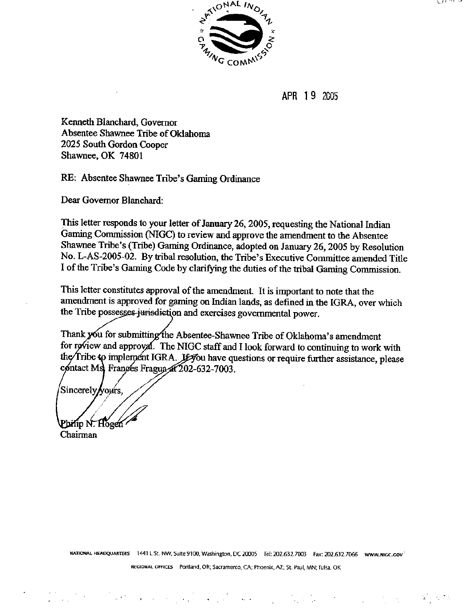$\mathcal{C} \times \mathcal{C}$ 



**APR 13** *2C05* 

**Kenneth BIanchard, Governor Absentee Shawnee Tribe of Oklahoma 2025 South Gordon Cooper Shawnee, OK 74801** 

**RE: Absentee Shawnee Tribe's Gaming Ordinance** 

Dear Governor Blanchard:

**This letter responds to your letter of January 26,2005, requesting the National Indian Gaming Commission to review and approve the amendment to the Absentee Shawnee Tribe's (Tribe) Gaming Ordinance, adopted on January 26,2005 by Resolution No. L-AS-2005-02. By tribal resolution, the Tribe's Executive Committee amended Title I of the Tribe's Gaming Code by clarifying the duties of the tribal Gaming Commission.** 

**This** letter **constitutes approval of the amendment. It is important to note that the amendment is approved for gaming on Indian** lands, **as defined in the IGRA, over which**  the Tribe possesses-jurisdiction and exercises governmental power.

Thank you for submitting the Absentee-Shawnee Tribe of Oklahoma's amendment for review and approval. The NIGC staff and I look forward to continuing to work with the Tribe to implement IGRA. Je you have questions or require further assistance, please contact Ms Frances Fragua at 202-632-7003.

Sincerely/yours, Philip N. Hogen

**Chairman** 

**WTIOUAL HEMQUZIRTERS 1441 F St. NW, Suite 9100, Washin@n. DC 2OIK)S Td 202.631.7003 Fax: 202.632.7066 www.nlccaov'** 

**WGIONAL OFFtCES Partland, OR; Sacramento. O\; Phoenix, AZ; St. Paul, MN;Tulw, OK** 

 $\mathcal{L}^{\text{max}}_{\text{max}}$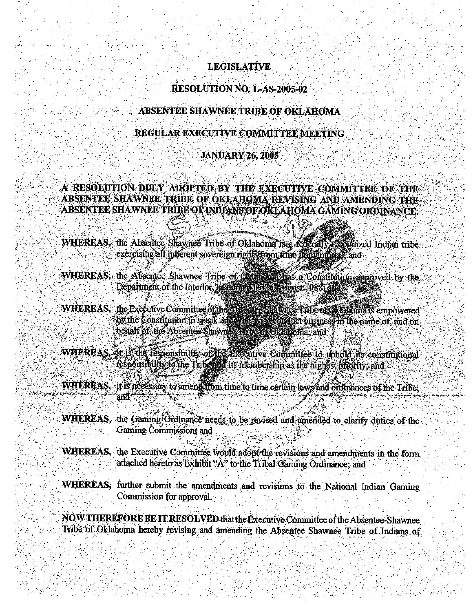### **LEGISLATIVE**

#### **RESOLUTION NO. L-AS-2005-02**

#### ABSENTEE SHAWNEE TRIBE OF OKLAHOMA

#### REGULAR EXECUTIVE COMMITTEE MEETING

#### **JANUARY 26, 2005**

#### A RESOLUTION DULY ADOPTED BY THE EXECUTIVE COMMITTEE OF THE ABSENTEE SHAWNEE TRIBE OF OKLAHOMA REVISING AND AMENDING THE ABSENTEE SHAWNEE TRIBE OF INDIANS OF OKLAHOMA GAMING ORDINANCE.

- WHEREAS, the Absence Shawnee Tribe of Oklahoma is a federally recognized Indian tribe exercising all inferent sovereign rights from time immembrant and
- WHEREAS, the Absentee Shawnee Tribe of Oktabours has a Constitution approved by the Department of the Interior, last amended in August 1988; and 3
- WHEREAS, the Executive Committee of the Alliande Statione (fibe of Oklahoma's empowered<br>Ox the Constitution to speak and alliance of differentiation the name of, and on behalf of the Absentee-Shawite a fire of or a man and
- WHEREAS, or is the responsibility of the Hxendive Committee to uphold its constitutional responsibility fo the Tribe and its membership as the highest pricitity; and
- WHEREAS, it is necessary to amend from time to time certain laws and ordinances of the Tribe;
- WHEREAS, the Gaming Ordinance needs to be revised and amended to clarify duties of the Gaming Commission, and
- WHEREAS, the Executive Committee would adopt the revisions and amendments in the form attached hereto as Exhibit "A" to the Tribal Gaming Ordinance, and
- WHEREAS, further submit the amendments and revisions to the National Indian Gaming Commission for approval.
- NOW THEREFORE BE IT RESOLVED that the Executive Committee of the Absentee-Shawnee Tribe of Oklahoma hereby revising and amending the Absentee Shawnee Tribe of Indians of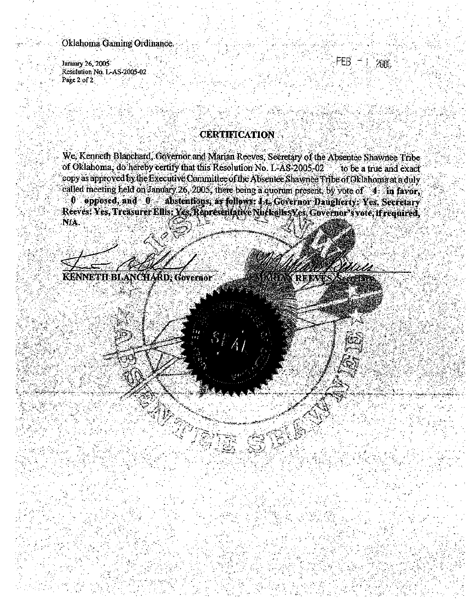### Oklahoma Gaming Ordinance.

January 26, 2005 Resolution No. L-AS-2005-02 Page 2 of 2

FER 2009.

## **CERTIFICATION**

We, Kenneth Blanchard, Governor and Marian Reeves, Secretary of the Absentee Shawnee Tribe of Oklahoma, do hereby certify that this Resolution No. L-AS-2005-02 to be a true and exact copy as approved by the Executive Committee of the Absentee Shawnee Tribe of Oklahoma at a duly called meeting held on January 26, 2005, there being a quorum present, by vote of 4 in favor, 0 opposed, and 0 abstentions, as follows: Lt. Covernor Daugherty: Yes, Secretary Reeves: Yes, Treasurer Ellis: Yes, Representative Nuckolls: Yes, Governor's vote, if required, ÑA.

KENNETH BLANCHARD, Governor

*UNREEV* 

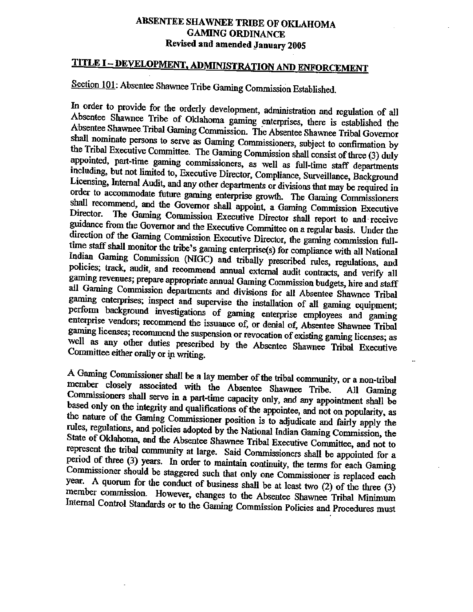## **ABSENTEE SHAWNEE TRXBE OF OKLAHOMA GAMING ORDINANCE: Revised and amended January 2005**

# **TITLE I** - **DEVELOPMENT, ADMIMSTRATION AND ENFORCEMENT**

# **<u>Section 101</u>: Absentee Shawnee Tribe Gaming Commission Established.</u>**

**In order to provide for the orderIy development, administration and regulation of dl Absentee Shawnee Tribe of Oklahoma gaming enterprises, there is established the**  Absentee Shawnee Tribal Gaming Commission. The Absentee Shawnee Tribal Governor **shdl nominate persons to serve as Gaming Commissioners, subject to** confirmation **by**  the Tribal Executive Committee. The Gaming Commission shall consist of three (3) duly **appointed, part-time gaming comfllissioners, as well as full-time staff departments including, but not limited to, Executive Director, Compliance, Surveillance, Background Licensing,** Internal **Audit,** and **any other departments or divisions that may be required in order to accommodate** future **gaming enterprise** growth. **The Gaming Commissioners**  shall recommend, and the Governor shall appoint, a Gaming Commission Executive **Director. The Gaming Commission Executive Dimtor shalt report to and receive guidance hm the Governor and** the **Executive Committee on a regular basis. Under the diction of the Gaming Commission Executive Director, ~e gaming commission** fuUtime staff shall monitor the tribe's gaming enterprise(s) for compliance with all National **hdian Gaming Commission (NIGC)** and **tribally prescribed rules, regulations, and policies; track,** audit, **and recommend annual external audit contracts, and verify** all **gaming revenues; prepare appropriate annual Gaming Commission budgets, hire and staff all Gaming Commission departments and divisions for all Absentee Shawnee Tribal gaming enterprises;** inspect **and supervise** the **installation of** all **gaming equipment; perform background investigations of gaming enterprise employees and gaming enterprise vendors; recommend** the **ismaace of, or denial of, Absentee Shawnee Tribal**   $gamma$  ficenses; recommend the suspension or revocation of existing gaming licenses; as **c** we well as any other duties prescribed by the Absentee Shawnee Tribal Executive Shawnee Tribal Executive **Tribal Executive Committee either orally or ip writing.** 

**A Gaming Commissioner shall be a lay member of the tribal** community, **or a non-tribal**  member closely associated with the Absentee Shawnee Tribe. All Gaming **CoMfnissioners shall** *me* **in a part-time capacity only, and any appointment shall be based only on the integrity and qudifications of the appointee, and not on popdarity, as**  *the* **nature of the Gaming Commissioner position is to adjudicate and fairly apply the**  rules, regulations, and policies adopted by the National Indian Gaming Commission, the **State of Oklahoma, and the Absentee Shawnee Tribal Executive Committee, and not to**  represent the tribal community at large. Said Commissioners shall be appointed for a **period of** three **(3) years. h order to maintain continuity, the terns for each Gaming Commissioner should be staggered such that only one Commissioner is replaced each year. A quorum for the conduct of business shall be at least two** (2) **of** the **three (3) member commission, However, changes to the Absentee Shawnee Tribal** Minimum Internal Control Standards or to the Gaming Commission Policies and Procedures must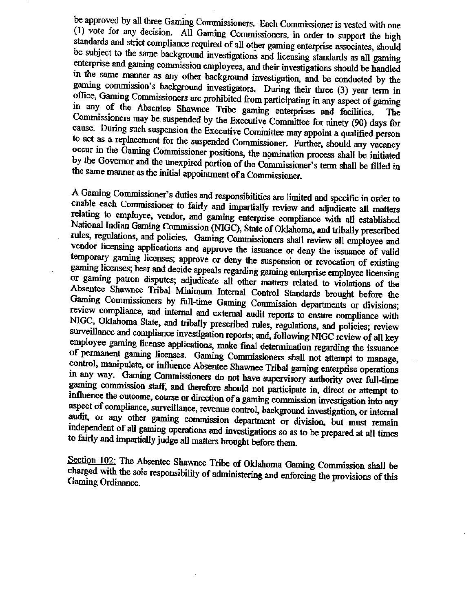**be approved by all three Gaming Commissioners. Each Commissioner is vested** with **one (1) vote for any decision, All Gaming Commissioners, in order to support the high standards and strict compliance required of all other gaming enterprise associates, should be subject to** the **same background investigations and licensing standards as all gaming enterprise and gaming commission employees, and their investigations should be handled in the same manner as any other background investigation, and be conduded by the gaming commission's background investigators. During their three (3) year term in ofice, Gaming Cornmissioners are prohibited from participating in any aspect of gaming in any of the Absentee Shawnee Tribe gaming enterprises and facilities. The Commissioners may be. suspended by the Executive Conunittee for ninety (90) days for cause. During such suspension** the **Executive Corninittee may appoint a qualified person to act as a replacement for the suspended Commissioner.** Further, **should any vacancy occur in the Gaming Commissioner positions, the nomination process shall be initiated** by the Governor and the unexpired portion of the Commissioner's term shall be filled in **the same manner as the initial appointment of a Commissioner.** 

**A Gaming Commissioner's duties and ~spnsibilities are limited and specific in order** *to*  **enable each Commissioner to fairly and im@aIIy review and adjudicate all matters relating to employee, vendor, and gaming enterprise compliance** with **dl established National** Indian **Gaming Commission (NIGC), State of Oklahoma, and tribally prescribed**  rules, regulations, and policies. Gaming Commissioners shall review all employee and **vendor licensing applications and approve the issuance or deny the issuance of** valid **temporary gaming licenses; approve** *or* **deny the suspension or revocation of existing gaming licenses; hear and decide appeals regarding gaming enterprise employee licensing or gaming patron disputes; adjudicate all other matters related to violations of the Absentee Shawnee Tribal** Minimum **Internal Control Stan\* brought before. the Gaming Commissioners by** full-time *Gaming* **Commission departments or divisions; review compliance, and internal and extend audit reports to ensure compliance with NIGC, Oklahoma State; and tribally prescribed rules, regulations, and policies; review surveillance and compliance investigation** reports'; **and, following** EnGC **review of all key**  employee gaming license applications, make final determination regarding the issuance **of permand ghg li-. Gaming Commissioners shall not attempt to** *manage,* . control, manipulate, or influence Absentee Shawnee Tribal gaming enterprise operations **in any way. Gaming Commissioners do** not have **supervisory authority ova full-time gaming cotndssion and therefore should not participate** in, **direct or attempt to**  influence the outcome, course or direction of a gaming commission investigation into any aspect of compliance, surveillance, revenue control, background investigation, or internal **audit, or any other gaming commission department or division, but must remain independent of d gaming operations rtnd investigations so as to be prepared at dl** times to fairly and impartially judge all matters brought before them.

**Section 102: The Absentee Shawnee Tribe of Oklahoma Gaming Commission shall be charged** with **the sole responsibility of administering and enforcing the provisions of this Gaming Ordinance.**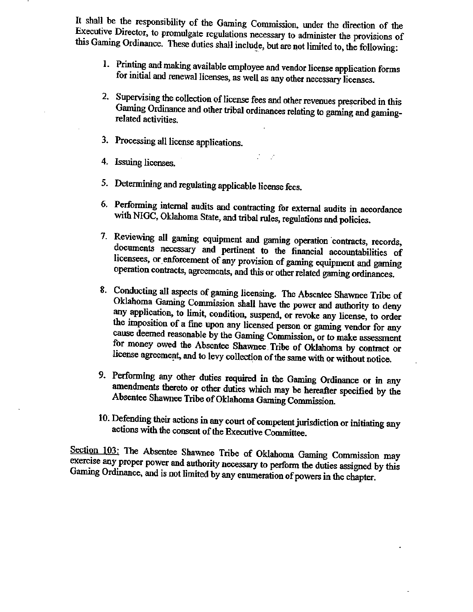**It shall be the responsibility of the Gaming Commission, under** the **direction of the Executive Director, to promulgate regulations necessary to administer the provisions of**  this Gaming Ordinance. These duties shall include, but are not limited to, the following:

- **<sup>1</sup> Printing and making available employee and vendor license application forms for initial and** renewal **Iicenses, as well as any other necessary licenses.**
- **2. Supervising the collection of license fees and other revenues pvcribed in this Gaming Ordinance and other tribal ordinances relating to gaming and gamingrelated activities.**
- **3. Processing dl license applications.**
- . . **4. Issuing** licenses.
- **5. Determining and regulating app1icable license fees.**
- **6. Performing** intend **audits and contracting for external audits in** accordance **with NIGC, Oklahoma State, and tribaI rules, regulations and policies.**
- **7. Reviewing all gaming equipment** and **gaming operation 'contmcts, records, documents necessary and pertinent to the fmncial accountabilities of licensees, or.enfoxcement of any provision of gaming equipment and gaming operation contracts, agreements, and this or other related gaming ordinances.**
- **8. Conducting all aspects of gaming licensing. The Absentee Shawnee** *Tribe* **of**   $O$ klahoma Gaming Commission shall have the power and authority to deny **any application, to hit, condition, suspend, or revoke any license, to order the imposition of a fine upon any licensed person or gaming vendor for any cause deemed reasonable by the Gaming Commission, or to make assessment**  for money owed the Absentee Shawnee Tribe of Oklahoma by contract or license agreement, and to levy collection of the same with or without notice.
- 9. Performing any other duties required in the Gaming Ordinance or in any amendments thereto or other duties which may be hereafter specified by the **Absentee Shawnee Tribe of OHabom Gaming Cammission.**
- **10. Defending their actions in any court of competent jurisdiction or initiating any actions with** fhe **consent of the Executive Committee.**

Section 103: The Absentee Shawnee Tribe of Oklahoma Gaming Commission may **exercise any proper power and authority necessary to perform the duties assigned by this Gaming Ordinance, and is not limited by any enumeration of powers in the chapter.**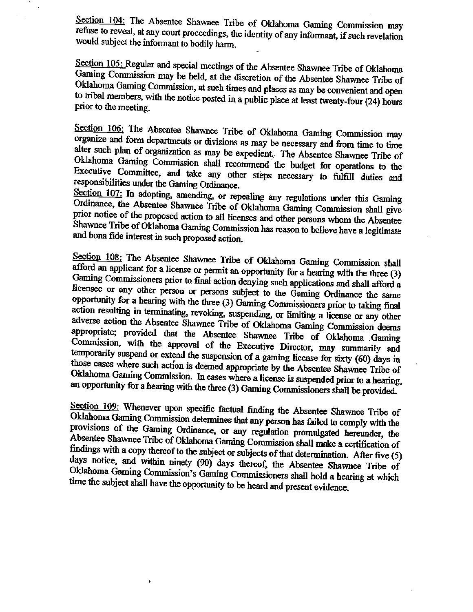**Section 204: The Absentee Shawnee Tribe of Oklahoma Garning Commission may refuse** *to* **reveal, at my court proceedings,** *the* **identity of any informant, if such revelation would subject the informant to bodily** ham. -

**Section 105: Regular and special meetings of the Absentee Shawnee Tribe of Oklahoma Gaming Commission may be held, at the discretion of the Absentee Shawnee Tribe of Oklahoma Gaming Commission, at** such **times** and **places as may be convenient and open to** tribal **members, with the notice** posted **in a public place at least twenty-four** (24) **hours prior to the meeting.** 

**Section 106: The Absentee Shawnee Tribe of Oklahoma Gaming Commission may organize and form departments or divisions as may be necessary and** from **time to time alter such plan of organization as may be expedient,,. The Absentee Shawnee Tribe of**  Oklahoma Gaming Commission shall recommend the budget for operations to the **Executive Committee, and take any other steps necessary to fulfil1 duties and responsibilities under the Gaming Chhance.** 

**Section 107: In adopting,** amending, **or repealing any regulations** under **this Gaming Ordinance, the Absentee Shawnee Tribe of Oklahoma** *Gaming* omm mission **shall give prior notice of the proposed action to aU licenses and** *other* **persons whom the Absentee Shawnee Tribe of Oklahoma Gaming Commission has mason to beleve have a legitimate and bona fide interest in such proposed action.** 

**Section 108: The Absentee Shawnee Tribe of Oklahoma Gaming Commission shall afford an applicant for a license or** *permit* **an opporhmity for a hearing** with **the** tbree **(3) Gaming Commissioners prior to** final **action denying such applications** and **shall afford a**  licensee or any other person or persons subject to the Gaming Ordinance the same **opportunity for a hearing with the three (3) Garning Commissioners prior to taking final action resulting in** temhthg, **revoking, suspending, or Iimiting a lime or any other adverse action the Absentee Shawnee Tribe of Oklahoma Gaming Commission deems**  appropriate; provided that the Absentee Shawnee Tribe of Oklahoma Gaming **Commission, with the approval of** the **Executive Director,** *may* **summarily and temporarily suspend or extend the suspension of a gaming license for** sixty **(60) days in those cases where such action is darned appropriate by the Absentee Shawnee Tribe of Oklahoma Gaming Commission. In cases where a license is suspended prior to a hearing, an opportunity for a hearing with the three (3) Gaming Cornmissioners shall be provided.** 

Section 109: Whenever upon specific factual finding the Absentee Shawnee Tribe of Oklahoma Gaming Commission determines that any person has failed to comply with the **provisions of the Gaming Ordinance,** *or* **any regulation promulgated hereunder, the Absentee Shawnee** Tribe **of Oklahoma Gaming Commission shall make a certification of fmdings with a copy thereof to the subject or subjects of that determination. After five (5) days notice, and within ninety (90) days thereof, the Absentee Shawnee Tribe of Oklahoma Gaming Commission's** *Gaming* **Commissioners shall hold a hearing at which time the subject shall have** the **opportunity to be heard** and **present evidence.** 

 $\ddot{\phantom{0}}$